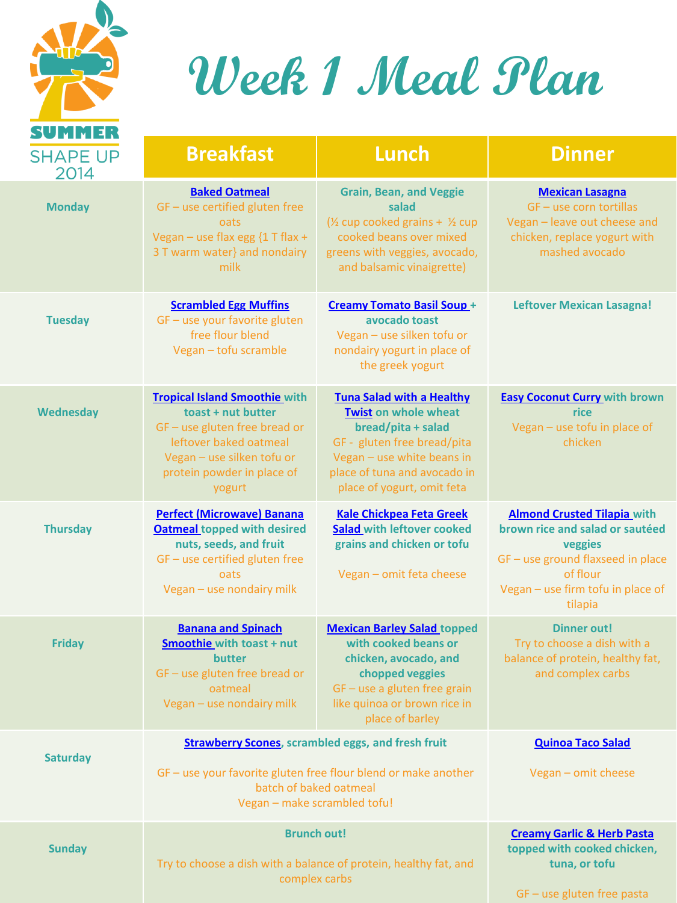

### **Week 1 Meal Plan**

| .                       |                                                                                                                                                                                               |                                                                                                                                                                                                                  |                                                                                                                                                                                   |
|-------------------------|-----------------------------------------------------------------------------------------------------------------------------------------------------------------------------------------------|------------------------------------------------------------------------------------------------------------------------------------------------------------------------------------------------------------------|-----------------------------------------------------------------------------------------------------------------------------------------------------------------------------------|
| <b>SHAPE UP</b><br>2014 | <b>Breakfast</b>                                                                                                                                                                              | <b>Lunch</b>                                                                                                                                                                                                     | <b>Dinner</b>                                                                                                                                                                     |
| <b>Monday</b>           | <b>Baked Oatmeal</b><br>GF - use certified gluten free<br>oats<br>Vegan - use flax egg {1 T flax +<br>3 T warm water} and nondairy<br>milk                                                    | <b>Grain, Bean, and Veggie</b><br>salad<br>(1/2 cup cooked grains + 1/2 cup<br>cooked beans over mixed<br>greens with veggies, avocado,<br>and balsamic vinaigrette)                                             | <b>Mexican Lasagna</b><br>GF - use corn tortillas<br>Vegan - leave out cheese and<br>chicken, replace yogurt with<br>mashed avocado                                               |
| <b>Tuesday</b>          | <b>Scrambled Egg Muffins</b><br>GF - use your favorite gluten<br>free flour blend<br>Vegan - tofu scramble                                                                                    | <b>Creamy Tomato Basil Soup +</b><br>avocado toast<br>Vegan - use silken tofu or<br>nondairy yogurt in place of<br>the greek yogurt                                                                              | <b>Leftover Mexican Lasagna!</b>                                                                                                                                                  |
| Wednesday               | <b>Tropical Island Smoothie with</b><br>toast + nut butter<br>$GF - use$ gluten free bread or<br>leftover baked oatmeal<br>Vegan - use silken tofu or<br>protein powder in place of<br>yogurt | <b>Tuna Salad with a Healthy</b><br><b>Twist on whole wheat</b><br>bread/pita + salad<br>GF - gluten free bread/pita<br>Vegan - use white beans in<br>place of tuna and avocado in<br>place of yogurt, omit feta | <b>Easy Coconut Curry with brown</b><br>rice<br>Vegan - use tofu in place of<br>chicken                                                                                           |
| <b>Thursday</b>         | <b>Perfect (Microwave) Banana</b><br><b>Oatmeal topped with desired</b><br>nuts, seeds, and fruit<br>GF - use certified gluten free<br>oats<br>Vegan - use nondairy milk                      | <b>Kale Chickpea Feta Greek</b><br>Salad with leftover cooked<br>grains and chicken or tofu<br>Vegan - omit feta cheese                                                                                          | <b>Almond Crusted Tilapia with</b><br>brown rice and salad or sautéed<br>veggies<br>GF - use ground flaxseed in place<br>of flour<br>Vegan - use firm tofu in place of<br>tilapia |
| <b>Friday</b>           | <b>Banana and Spinach</b><br><b>Smoothie with toast + nut</b><br>butter<br>GF - use gluten free bread or<br>oatmeal<br>Vegan - use nondairy milk                                              | <b>Mexican Barley Salad topped</b><br>with cooked beans or<br>chicken, avocado, and<br>chopped veggies<br>GF - use a gluten free grain<br>like quinoa or brown rice in<br>place of barley                        | <b>Dinner out!</b><br>Try to choose a dish with a<br>balance of protein, healthy fat,<br>and complex carbs                                                                        |
| <b>Saturday</b>         | <b>Strawberry Scones</b> , scrambled eggs, and fresh fruit                                                                                                                                    |                                                                                                                                                                                                                  | <b>Quinoa Taco Salad</b>                                                                                                                                                          |
|                         | GF - use your favorite gluten free flour blend or make another<br>batch of baked oatmeal<br>Vegan - make scrambled tofu!                                                                      |                                                                                                                                                                                                                  | Vegan - omit cheese                                                                                                                                                               |
| <b>Sunday</b>           | <b>Brunch out!</b><br>Try to choose a dish with a balance of protein, healthy fat, and<br>complex carbs                                                                                       |                                                                                                                                                                                                                  | <b>Creamy Garlic &amp; Herb Pasta</b><br>topped with cooked chicken,<br>tuna, or tofu<br>GF - use gluten free pasta                                                               |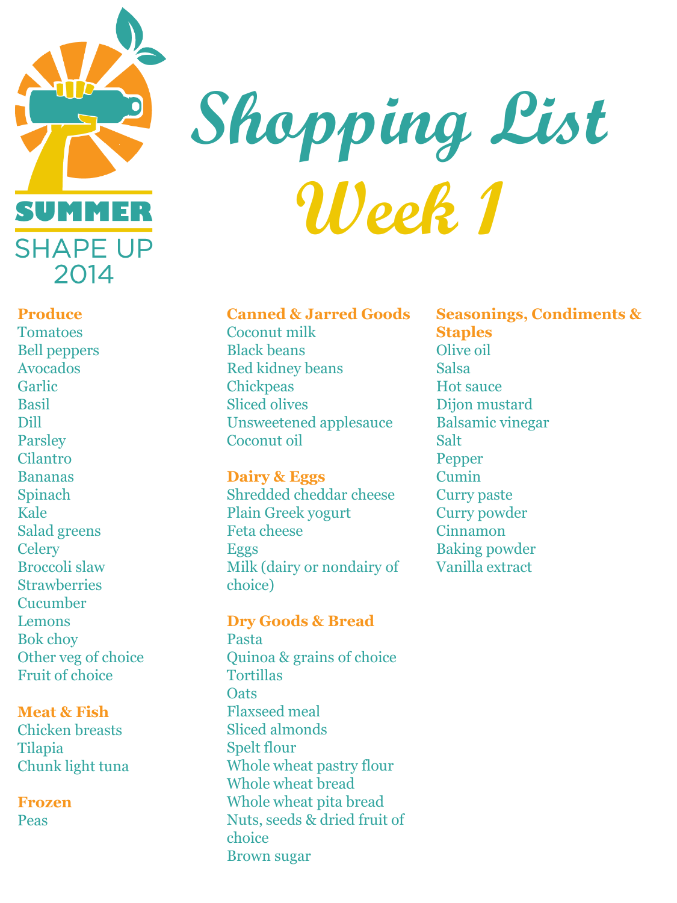

## **Shopping List Week 1**

#### **Canned & Jarred Goods**

Coconut milk Black beans Red kidney beans **Chickpeas** Sliced olives Unsweetened applesauce Coconut oil

#### **Dairy & Eggs**

Shredded cheddar cheese Plain Greek yogurt Feta cheese Eggs Milk (dairy or nondairy of choice)

#### **Dry Goods & Bread**

Pasta Quinoa & grains of choice Tortillas **Oats** Flaxseed meal Sliced almonds Spelt flour Whole wheat pastry flour Whole wheat bread Whole wheat pita bread Nuts, seeds & dried fruit of choice Brown sugar

**Seasonings, Condiments & Staples** Olive oil Salsa Hot sauce Dijon mustard Balsamic vinegar Salt Pepper Cumin Curry paste Curry powder Cinnamon Baking powder Vanilla extract

#### **Produce**

Tomatoes Bell peppers Avocados Garlic Basil Dill Parsley Cilantro Bananas Spinach Kale Salad greens **Celery** Broccoli slaw **Strawberries** Cucumber Lemons Bok choy Other veg of choice Fruit of choice

#### **Meat & Fish**

Chicken breasts Tilapia Chunk light tuna

**Frozen**  Peas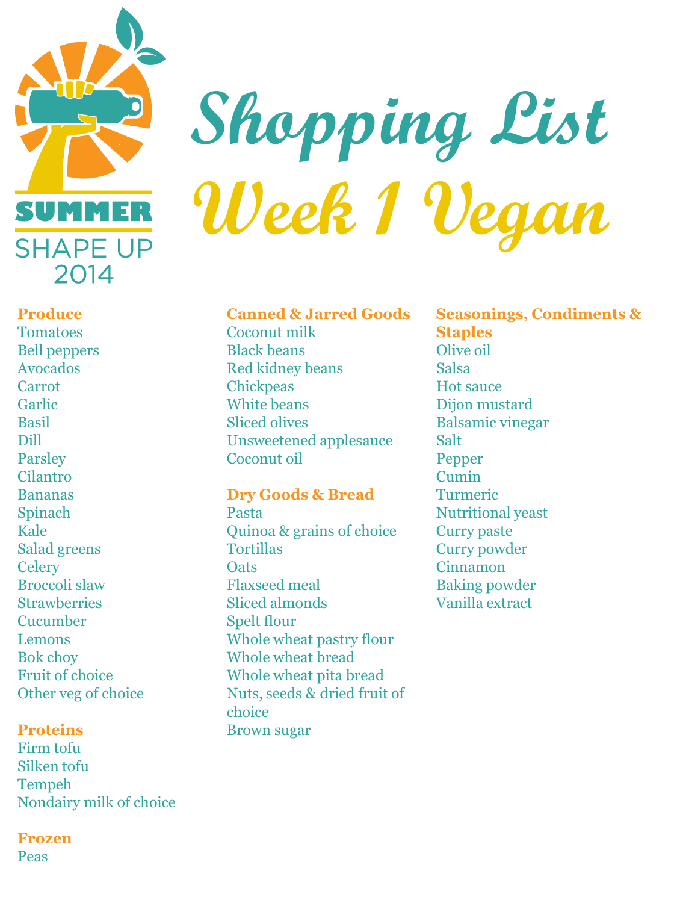

# **Shopping List Week 1 Vegan**

#### **Canned & Jarred Goods**

Coconut milk Black beans Red kidney beans **Chickpeas** White beans Sliced olives Unsweetened applesauce Coconut oil

#### **Dry Goods & Bread**

Pasta Quinoa & grains of choice **Tortillas Oats** Flaxseed meal Sliced almonds Spelt flour Whole wheat pastry flour Whole wheat bread Whole wheat pita bread Nuts, seeds & dried fruit of choice Brown sugar

#### **Seasonings, Condiments & Staples** Olive oil Salsa Hot sauce Dijon mustard Balsamic vinegar Salt Pepper Cumin Turmeric Nutritional yeast Curry paste Curry powder Cinnamon Baking powder Vanilla extract

#### **Produce**

Tomatoes Bell peppers Avocados Carrot Garlic Basil Dill Parsley Cilantro Bananas Spinach Kale Salad greens **Celery** Broccoli slaw **Strawberries** Cucumber Lemons Bok choy Fruit of choice Other veg of choice

#### **Proteins**

Firm tofu Silken tofu Tempeh Nondairy milk of choice

#### **Frozen**

Peas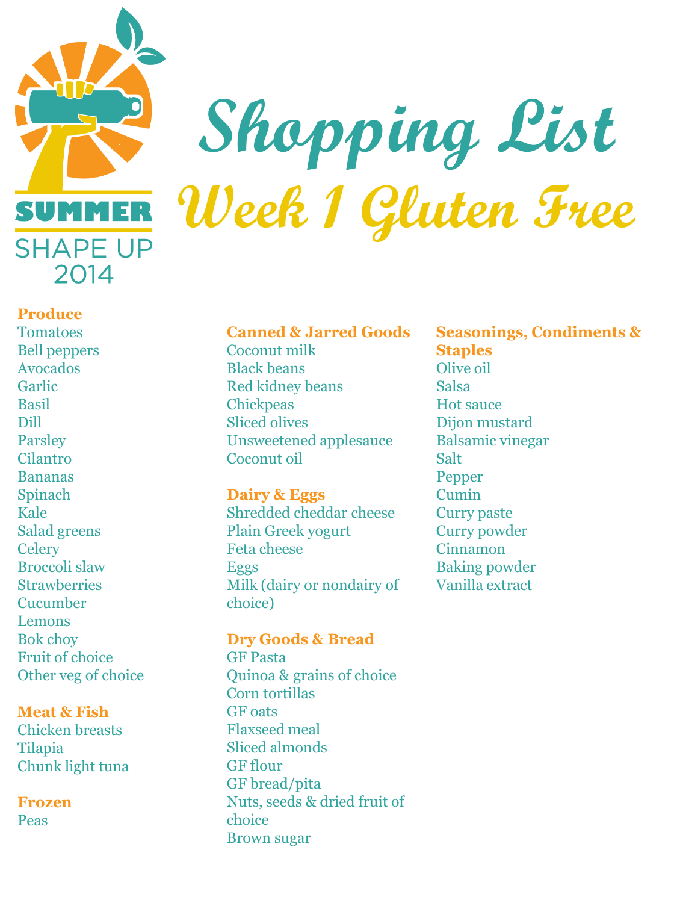

### **Shopping List Week 1 Gluten Free**

#### **Produce**

Tomatoes Bell peppers Avocados Garlic Basil Dill Parsley Cilantro Bananas Spinach Kale Salad greens **Celery** Broccoli slaw **Strawberries** Cucumber Lemons Bok choy Fruit of choice Other veg of choice

#### **Meat & Fish**

Chicken breasts Tilapia Chunk light tuna

**Frozen**  Peas

#### **Canned & Jarred Goods**

Coconut milk Black beans Red kidney beans **Chickpeas** Sliced olives Unsweetened applesauce Coconut oil

#### **Dairy & Eggs**

Shredded cheddar cheese Plain Greek yogurt Feta cheese Eggs Milk (dairy or nondairy of choice)

#### **Dry Goods & Bread**

GF Pasta Quinoa & grains of choice Corn tortillas GF oats Flaxseed meal Sliced almonds GF flour GF bread/pita Nuts, seeds & dried fruit of choice Brown sugar

**Seasonings, Condiments & Staples** Olive oil

Salsa Hot sauce Dijon mustard Balsamic vinegar Salt Pepper Cumin Curry paste Curry powder Cinnamon Baking powder Vanilla extract